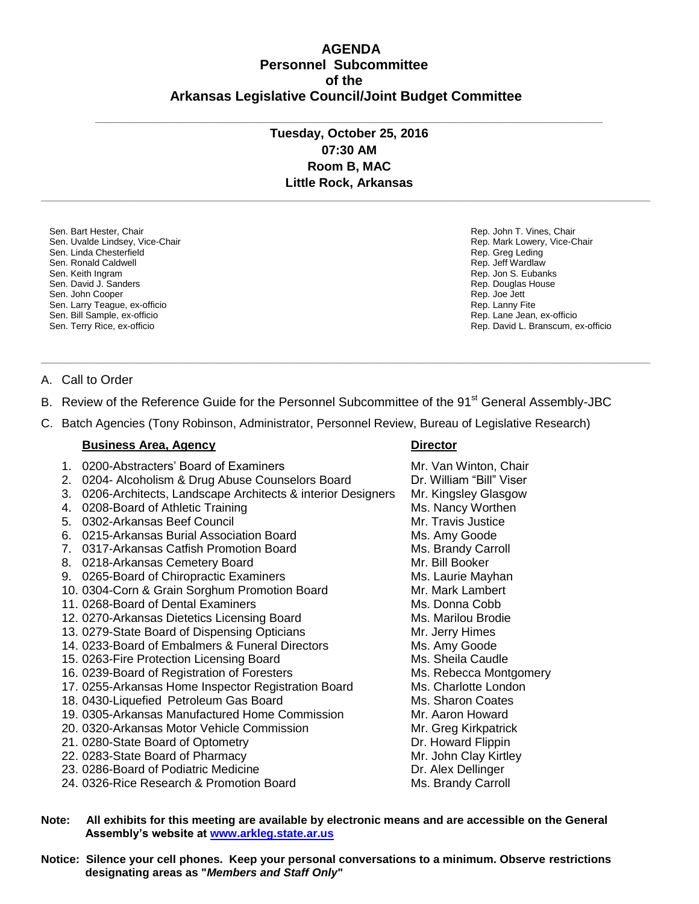# **AGENDA Personnel Subcommittee of the Arkansas Legislative Council/Joint Budget Committee**

# **Tuesday, October 25, 2016 07:30 AM Room B, MAC Little Rock, Arkansas**

**\_\_\_\_\_\_\_\_\_\_\_\_\_\_\_\_\_\_\_\_\_\_\_\_\_\_\_\_\_\_\_\_\_\_\_\_\_\_\_\_\_\_\_\_\_\_\_\_\_\_\_\_\_\_\_\_\_\_\_\_\_\_\_\_\_\_\_\_\_\_\_\_\_\_\_\_\_\_\_\_\_\_\_\_\_\_\_\_\_\_\_\_\_\_\_\_\_\_\_\_\_\_\_\_\_\_\_\_\_\_\_\_\_\_\_\_\_\_\_\_**

**\_\_\_\_\_\_\_\_\_\_\_\_\_\_\_\_\_\_\_\_\_\_\_\_\_\_\_\_\_\_\_\_\_\_\_\_\_\_\_\_\_\_\_\_\_\_\_\_\_\_\_\_\_\_\_\_\_\_\_\_\_\_\_\_\_\_\_\_\_\_\_\_\_\_\_\_\_\_\_\_\_\_\_\_\_\_\_\_\_\_\_\_\_\_\_\_\_\_\_\_**

Sen. Bart Hester, Chair Sen. Uvalde Lindsey, Vice-Chair Sen. Linda Chesterfield Sen. Ronald Caldwell Sen. Keith Ingram Sen. David J. Sanders Sen. John Cooper Sen. Larry Teague, ex-officio Sen. Bill Sample, ex-officio Sen. Terry Rice, ex-officio

Rep. John T. Vines, Chair Rep. Mark Lowery, Vice-Chair Rep. Greg Leding Rep. Jeff Wardlaw Rep. Jon S. Eubanks Rep. Douglas House Rep. Joe Jett Rep. Lanny Fite Rep. Lane Jean, ex-officio Rep. David L. Branscum, ex-officio

### A. Call to Order

B. Review of the Reference Guide for the Personnel Subcommittee of the 91<sup>st</sup> General Assembly-JBC

**\_\_\_\_\_\_\_\_\_\_\_\_\_\_\_\_\_\_\_\_\_\_\_\_\_\_\_\_\_\_\_\_\_\_\_\_\_\_\_\_\_\_\_\_\_\_\_\_\_\_\_\_\_\_\_\_\_\_\_\_\_\_\_\_\_\_\_\_\_\_\_\_\_\_\_\_\_\_\_\_\_\_\_\_\_\_\_\_\_\_\_\_\_\_\_\_\_\_\_\_\_\_\_\_\_\_\_\_\_\_\_\_\_\_\_\_\_\_\_\_**

C. Batch Agencies (Tony Robinson, Administrator, Personnel Review, Bureau of Legislative Research)

### **Business Area, Agency <b>Director Director**

- 1. 0200-Abstracters' Board of Examiners Music Mr. Van Winton, Chair
- 2. 0204- Alcoholism & Drug Abuse Counselors Board Dr. William "Bill" Viser
- 3. 0206-Architects, Landscape Architects & interior Designers Mr. Kingsley Glasgow
- 4. 0208-Board of Athletic Training Ms. Nancy Worthen
- 5. 0302-Arkansas Beef Council Mr. Travis Justice Mr. Travis Justice
- 6. 0215-Arkansas Burial Association Board Ms. Amy Goode
- 7. 0317-Arkansas Catfish Promotion Board Ms. Brandy Carroll
- 8. 0218-Arkansas Cemetery Board Mr. Bill Booker
- 9. 0265-Board of Chiropractic Examiners **MS. Laurie Mayhan**
- 10. 0304-Corn & Grain Sorghum Promotion Board Mr. Mark Lambert
- 11. 0268-Board of Dental Examiners Music Cobb Ms. Donna Cobb
- 12. 0270-Arkansas Dietetics Licensing Board Ms. Marilou Brodie
- 13. 0279-State Board of Dispensing Opticians Mr. Jerry Himes
- 14. 0233-Board of Embalmers & Funeral Directors Ms. Amy Goode
- 15. 0263-Fire Protection Licensing Board Ms. Sheila Caudle
- 16. 0239-Board of Registration of Foresters Muscus Ms. Rebecca Montgomery
- 17. 0255-Arkansas Home Inspector Registration Board Ms. Charlotte London
- 18. 0430-Liquefied Petroleum Gas Board Ms. Sharon Coates
- 19. 0305-Arkansas Manufactured Home Commission Mr. Aaron Howard
- 20. 0320-Arkansas Motor Vehicle Commission Mr. Greg Kirkpatrick
- 21. 0280-State Board of Optometry **Dr. Howard Flippin**
- 22. 0283-State Board of Pharmacy Mr. John Clay Kirtley
- 23. 0286-Board of Podiatric Medicine Dr. Alex Dellinger
- 24. 0326-Rice Research & Promotion Board Ms. Brandy Carroll

**Note: All exhibits for this meeting are available by electronic means and are accessible on the General Assembly's website at www.arkleg.state.ar.us**

**Notice: Silence your cell phones. Keep your personal conversations to a minimum. Observe restrictions designating areas as "***Members and Staff Only***"**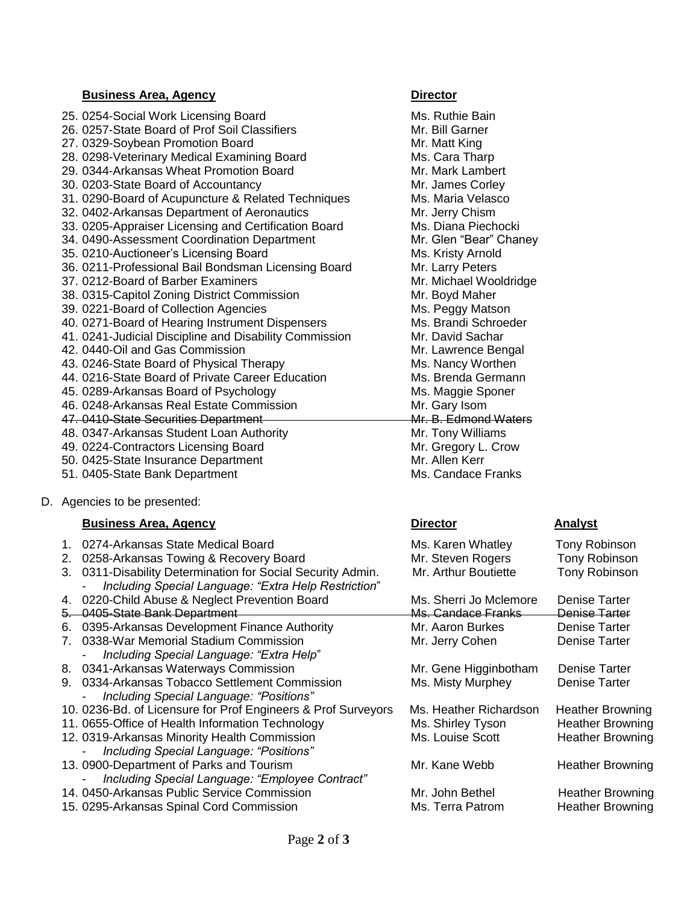### **Business Area, Agency Director** 25. 0254-Social Work Licensing Board Music Communist Control Ms. Ruthie Bain 26. 0257-State Board of Prof Soil Classifiers Multimum Mr. Bill Garner 27. 0329-Soybean Promotion Board Mr. Matt King 28. 0298-Veterinary Medical Examining Board Ms. Cara Tharp 29. 0344-Arkansas Wheat Promotion Board Mr. Mark Lambert 30. 0203-State Board of Accountancy Mr. James Corley 31. 0290-Board of Acupuncture & Related Techniques Ms. Maria Velasco 32. 0402-Arkansas Department of Aeronautics Mr. Jerry Chism 33. 0205-Appraiser Licensing and Certification Board Ms. Diana Piechocki 34. 0490-Assessment Coordination Department Mr. Glen "Bear" Chaney 35. 0210-Auctioneer's Licensing Board Ms. Kristy Arnold 36. 0211-Professional Bail Bondsman Licensing Board Mr. Larry Peters 37. 0212-Board of Barber Examiners Mr. Michael Wooldridge 38. 0315-Capitol Zoning District Commission Mr. Boyd Maher 39. 0221-Board of Collection Agencies Ms. Peggy Matson 40. 0271-Board of Hearing Instrument Dispensers Ms. Brandi Schroeder 41. 0241-Judicial Discipline and Disability Commission Mr. David Sachar 42. 0440-Oil and Gas Commission **Mr. Lawrence Bengal** 43. 0246-State Board of Physical Therapy Ms. Nancy Worthen 44. 0216-State Board of Private Career Education Ms. Brenda Germann 45. 0289-Arkansas Board of Psychology Ms. Maggie Sponer 46. 0248-Arkansas Real Estate Commission Mr. Gary Isom 47. 0410-State Securities Department Mr. B. Edmond Waters 48. 0347-Arkansas Student Loan Authority Mr. Tony Williams 49. 0224-Contractors Licensing Board Mr. Gregory L. Crow 50. 0425-State Insurance Department Mr. Allen Kerr

- 51. 0405-State Bank Department Ms. Candace Franks
- D. Agencies to be presented:

## **Business Area, Agency Director Analyst**

| 1.                             | 0274-Arkansas State Medical Board                             |
|--------------------------------|---------------------------------------------------------------|
| 2.                             | 0258-Arkansas Towing & Recovery Board                         |
| 3.                             | 0311-Disability Determination for Social Security Admin.      |
|                                | Including Special Language: "Extra Help Restriction"          |
| 4.                             | 0220-Child Abuse & Neglect Prevention Board                   |
| 5—                             | 0405-State Bank Department                                    |
| 6.                             | 0395-Arkansas Development Finance Authority                   |
| $7_{\scriptscriptstyle{\sim}}$ | 0338-War Memorial Stadium Commission                          |
|                                | Including Special Language: "Extra Help"                      |
|                                | 8. 0341-Arkansas Waterways Commission                         |
|                                | 9. 0334-Arkansas Tobacco Settlement Commission                |
|                                | Including Special Language: "Positions"                       |
|                                | 10. 0236-Bd. of Licensure for Prof Engineers & Prof Surveyors |
|                                | 11. 0655-Office of Health Information Technology              |
|                                | 12. 0319-Arkansas Minority Health Commission                  |
|                                | Including Special Language: "Positions"                       |
|                                | 13. 0900-Department of Parks and Tourism                      |
|                                | Including Special Language: "Employee Contract"               |
|                                | 14, 0450-Arkansas Public Service Commission                   |
|                                | 15. 0295-Arkansas Spinal Cord Commission                      |

# Ms. Karen Whatley Tony Robinson Mr. Steven Rogers Tony Robinson Mr. Arthur Boutiette Tony Robinson

| Mr. Kane Webb                       |
|-------------------------------------|
| Mr. John Bethel<br>Ms. Terra Patrom |

Ms. Sherri Jo Mclemore Denise Tarter Ms. Candace Franks Denise Tarter Mr. Aaron Burkes Denise Tarter Mr. Jerry Cohen Denise Tarter Mr. Gene Higginbotham Denise Tarter Ms. Misty Murphey Denise Tarter

Ms. Heather Richardson Heather Browning **Ms. Shirley Tyson Heather Browning** 12. 0319-Arkansas Minority Health Commission Ms. Louise Scott Heather Browning

Heather Browning

Heather Browning Heather Browning